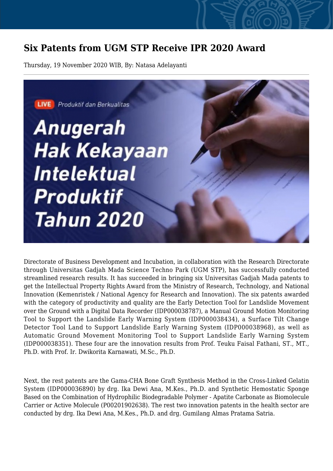## **Six Patents from UGM STP Receive IPR 2020 Award**

Thursday, 19 November 2020 WIB, By: Natasa Adelayanti



Directorate of Business Development and Incubation, in collaboration with the Research Directorate through Universitas Gadjah Mada Science Techno Park (UGM STP), has successfully conducted streamlined research results. It has succeeded in bringing six Universitas Gadjah Mada patents to get the Intellectual Property Rights Award from the Ministry of Research, Technology, and National Innovation (Kemenristek / National Agency for Research and Innovation). The six patents awarded with the category of productivity and quality are the Early Detection Tool for Landslide Movement over the Ground with a Digital Data Recorder (IDP000038787), a Manual Ground Motion Monitoring Tool to Support the Landslide Early Warning System (IDP000038434), a Surface Tilt Change Detector Tool Land to Support Landslide Early Warning System (IDP000038968), as well as Automatic Ground Movement Monitoring Tool to Support Landslide Early Warning System (IDP000038351). These four are the innovation results from Prof. Teuku Faisal Fathani, ST., MT., Ph.D. with Prof. Ir. Dwikorita Karnawati, M.Sc., Ph.D.

Next, the rest patents are the Gama-CHA Bone Graft Synthesis Method in the Cross-Linked Gelatin System (IDP000036890) by drg. Ika Dewi Ana, M.Kes., Ph.D. and Synthetic Hemostatic Sponge Based on the Combination of Hydrophilic Biodegradable Polymer - Apatite Carbonate as Biomolecule Carrier or Active Molecule (P00201902638). The rest two innovation patents in the health sector are conducted by drg. Ika Dewi Ana, M.Kes., Ph.D. and drg. Gumilang Almas Pratama Satria.